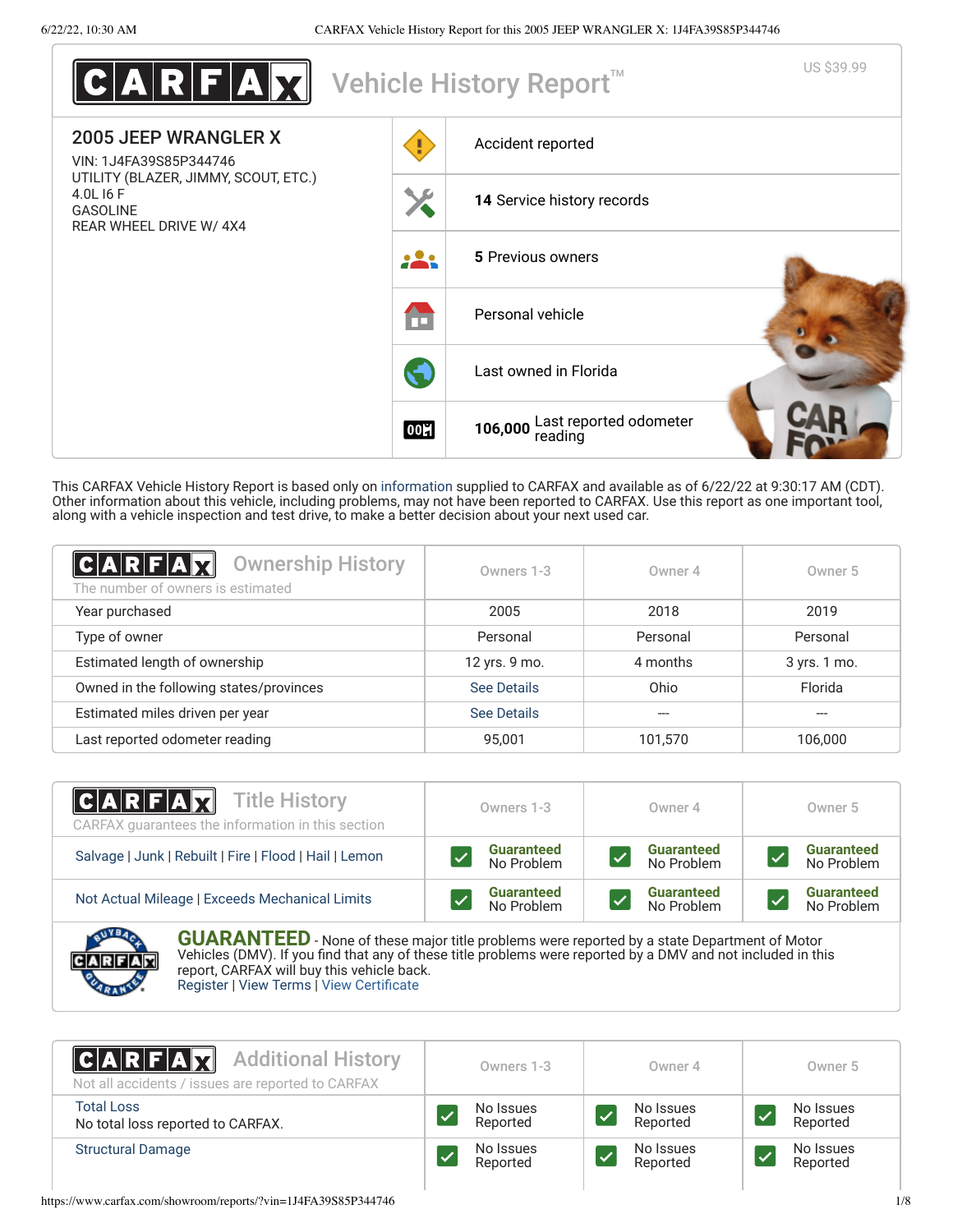| $\textbf{C} \textbf{A} \textbf{R} \textbf{F} \textbf{A} \textbf{M} $                           |                      | Vehicle History Report <sup>™</sup>       | US \$39.99 |
|------------------------------------------------------------------------------------------------|----------------------|-------------------------------------------|------------|
| <b>2005 JEEP WRANGLER X</b><br>VIN: 1J4FA39S85P344746                                          |                      | Accident reported                         |            |
| UTILITY (BLAZER, JIMMY, SCOUT, ETC.)<br>4.0L 16 F<br><b>GASOLINE</b><br>REAR WHEEL DRIVE W/4X4 |                      | 14 Service history records                |            |
|                                                                                                | .                    | 5 Previous owners                         |            |
|                                                                                                | m                    | Personal vehicle                          |            |
|                                                                                                | $\blacktriangledown$ | Last owned in Florida                     |            |
|                                                                                                | 00년                  | 106,000 Last reported odometer<br>reading |            |

This CARFAX Vehicle History Report is based only on [information](http://www.carfax.com/company/vhr-data-sources) supplied to CARFAX and available as of 6/22/22 at 9:30:17 AM (CDT). Other information about this vehicle, including problems, may not have been reported to CARFAX. Use this report as one important tool, along with a vehicle inspection and test drive, to make a better decision about your next used car.

<span id="page-0-1"></span>

| C A R F A X <br><b>Ownership History</b><br>The number of owners is estimated | Owners 1-3    | Owner 4  | Owner 5      |
|-------------------------------------------------------------------------------|---------------|----------|--------------|
| Year purchased                                                                | 2005          | 2018     | 2019         |
| Type of owner                                                                 | Personal      | Personal | Personal     |
| Estimated length of ownership                                                 | 12 yrs. 9 mo. | 4 months | 3 yrs. 1 mo. |
| Owned in the following states/provinces                                       | See Details   | Ohio     | Florida      |
| Estimated miles driven per year                                               | See Details   |          |              |
| Last reported odometer reading                                                | 95.001        | 101,570  | 106,000      |

| <b>CARFAX</b> Title History<br>CARFAX quarantees the information in this section | Owners 1-3                      | Owner 4                         | Owner 5                         |
|----------------------------------------------------------------------------------|---------------------------------|---------------------------------|---------------------------------|
| Salvage   Junk   Rebuilt   Fire   Flood   Hail   Lemon                           | <b>Guaranteed</b><br>No Problem | <b>Guaranteed</b><br>No Problem | <b>Guaranteed</b><br>No Problem |
| Not Actual Mileage   Exceeds Mechanical Limits                                   | <b>Guaranteed</b><br>No Problem | <b>Guaranteed</b><br>No Problem | <b>Guaranteed</b><br>No Problem |
| <b>CONTRACTOR</b>                                                                |                                 |                                 |                                 |



**GUARANTEED** - None of these major title problems were reported by a state Department of Motor Vehicles (DMV). If you find that any of these title problems were reported by a DMV and not included in this report, CARFAX will buy this vehicle back. [Register](https://www.carfax.com/Service/bbg) | [View Terms](https://www.carfax.com/company/carfax-buyback-guarantee-terms-and-conditions) | [View Certificate](https://www.carfax.com/showroom/reports/?vin=1J4FA39S85P344746)

<span id="page-0-0"></span>

| <b>CARFAX</b> Additional History<br>Not all accidents / issues are reported to CARFAX | Owners 1-3            | Owner 4               | Owner 5               |
|---------------------------------------------------------------------------------------|-----------------------|-----------------------|-----------------------|
| <b>Total Loss</b><br>No total loss reported to CARFAX.                                | No Issues<br>Reported | No Issues<br>Reported | No Issues<br>Reported |
| <b>Structural Damage</b>                                                              | No Issues<br>Reported | No Issues<br>Reported | No Issues<br>Reported |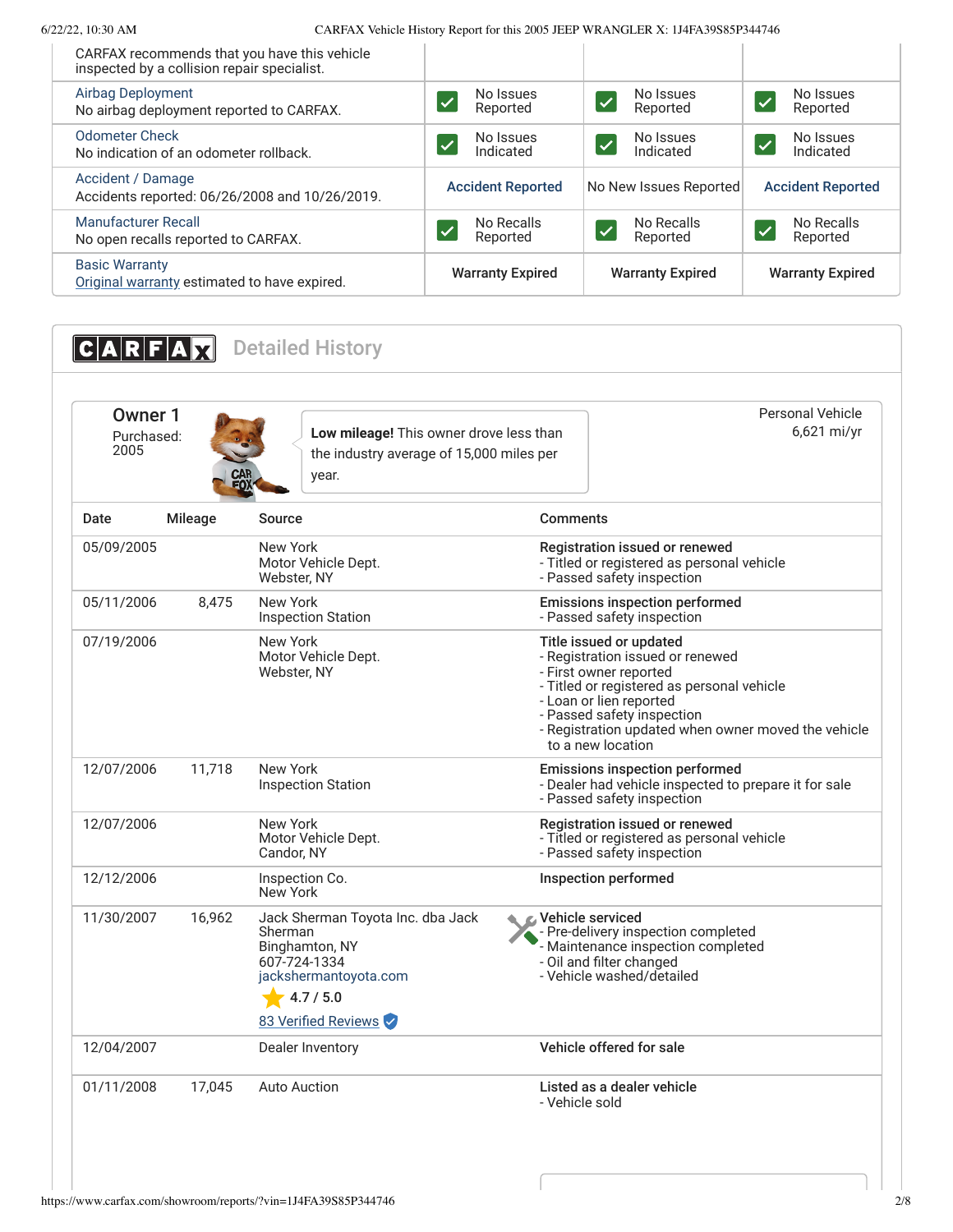| CARFAX recommends that you have this vehicle<br>inspected by a collision repair specialist. |                          |                                    |                                                   |
|---------------------------------------------------------------------------------------------|--------------------------|------------------------------------|---------------------------------------------------|
| <b>Airbag Deployment</b><br>No airbag deployment reported to CARFAX.                        | No Issues<br>Reported    | No Issues<br><b>V</b><br>Reported  | No Issues<br>$\overline{\mathcal{U}}$<br>Reported |
| <b>Odometer Check</b><br>No indication of an odometer rollback.                             | No Issues<br>Indicated   | No Issues<br><b>V</b><br>Indicated | No Issues<br>Ø<br>Indicated                       |
| Accident / Damage<br>Accidents reported: 06/26/2008 and 10/26/2019.                         | <b>Accident Reported</b> | No New Issues Reported             | <b>Accident Reported</b>                          |
| <b>Manufacturer Recall</b><br>No open recalls reported to CARFAX.                           | No Recalls<br>Reported   | No Recalls<br>Reported             | No Recalls<br>Reported                            |
| <b>Basic Warranty</b><br>Original warranty estimated to have expired.                       | <b>Warranty Expired</b>  | <b>Warranty Expired</b>            | <b>Warranty Expired</b>                           |
|                                                                                             |                          |                                    |                                                   |

<span id="page-1-1"></span><span id="page-1-0"></span>**CARFAX** Detailed History Owner 1 Purchased: 2005 **Low mileage!** This owner drove less than the industry average of 15,000 miles per year. Personal Vehicle 6,621 mi/yr Date Mileage Source Comments 05/09/2005 New York Motor Vehicle Dept. Webster, NY Registration issued or renewed - Titled or registered as personal vehicle - Passed safety inspection 05/11/2006 8,475 New York Inspection Station Emissions inspection performed - Passed safety inspection 07/19/2006 New York Motor Vehicle Dept. Webster, NY Title issued or updated - Registration issued or renewed - First owner reported - Titled or registered as personal vehicle - Loan or lien reported - Passed safety inspection - Registration updated when owner moved the vehicle to a new location 12/07/2006 11,718 New York Inspection Station Emissions inspection performed - Dealer had vehicle inspected to prepare it for sale - Passed safety inspection 12/07/2006 New York Motor Vehicle Dept. Candor, NY Registration issued or renewed - Titled or registered as personal vehicle - Passed safety inspection 12/12/2006 Inspection Co. New York Inspection performed 11/30/2007 16,962 [Jack Sherman Toyota Inc. dba Jack](http://www.jackshermantoyota.com/) Sherman Binghamton, NY 607-724-1334 [jackshermantoyota.com](http://www.jackshermantoyota.com/)  $4.7 / 5.0$ 83 Verified Reviews Vehicle serviced - Pre-delivery inspection completed - Maintenance inspection completed - Oil and filter changed - Vehicle washed/detailed 12/04/2007 Dealer Inventory Vehicle offered for sale 01/11/2008 17,045 Auto Auction 2008 2012 Listed as a dealer vehicle - Vehicle sold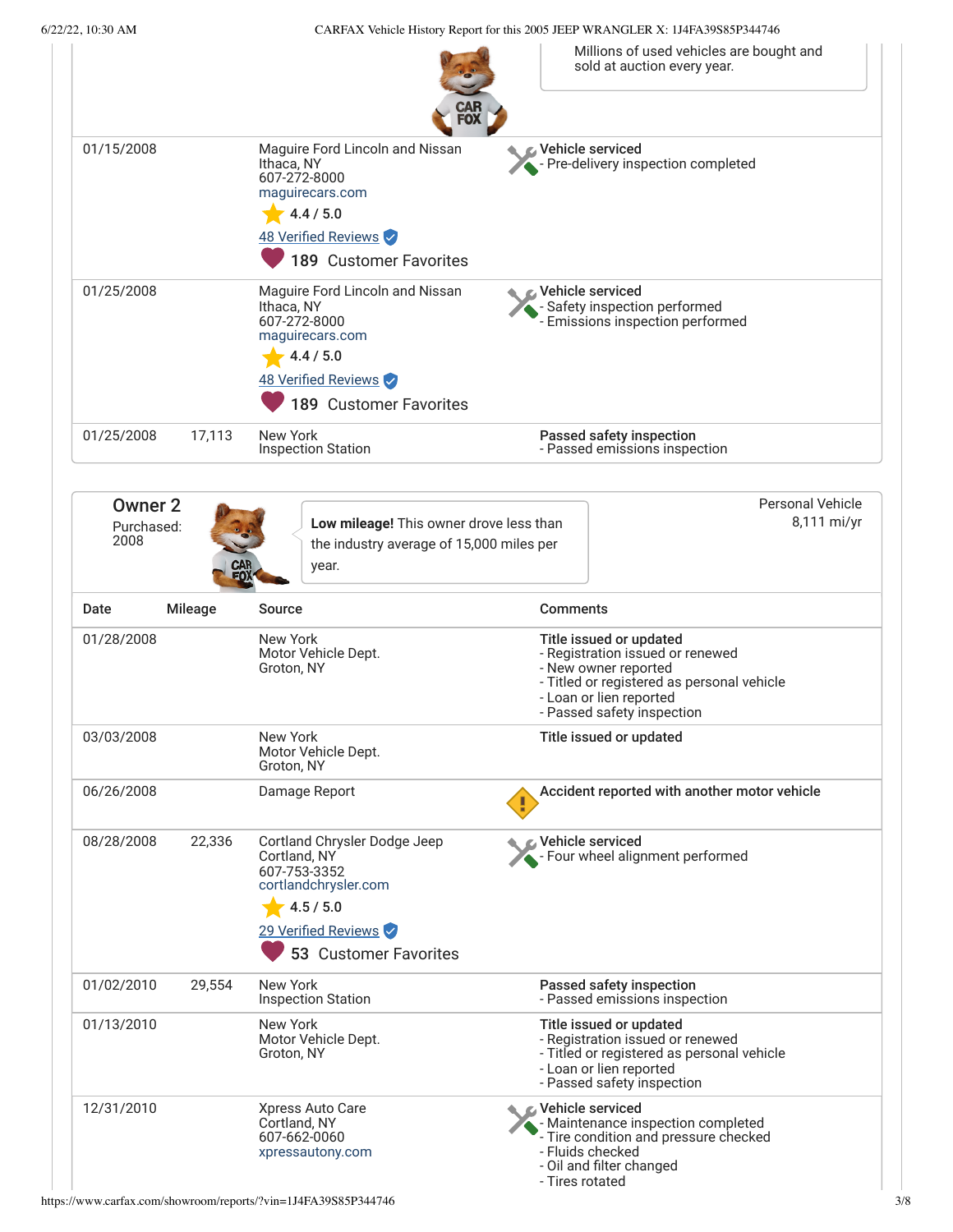6/22/22, 10:30 AM CARFAX Vehicle History Report for this 2005 JEEP WRANGLER X: 1J4FA39S85P344746

|                                      |                |                                                                                                                                                   | Millions of used vehicles are bought and<br>sold at auction every year.                                                                                                                    |
|--------------------------------------|----------------|---------------------------------------------------------------------------------------------------------------------------------------------------|--------------------------------------------------------------------------------------------------------------------------------------------------------------------------------------------|
| 01/15/2008                           |                | Maguire Ford Lincoln and Nissan<br>Ithaca, NY<br>607-272-8000<br>maguirecars.com<br>4.4 / 5.0<br>48 Verified Reviews<br>189 Customer Favorites    | Vehicle serviced<br>- Pre-delivery inspection completed                                                                                                                                    |
| 01/25/2008                           |                | Maguire Ford Lincoln and Nissan<br>Ithaca, NY<br>607-272-8000<br>maguirecars.com<br>4.4 / 5.0<br>48 Verified Reviews<br>189 Customer Favorites    | Vehicle serviced<br>- Safety inspection performed<br>Emissions inspection performed                                                                                                        |
| 01/25/2008                           | 17,113         | New York<br><b>Inspection Station</b>                                                                                                             | Passed safety inspection<br>- Passed emissions inspection                                                                                                                                  |
| <b>Owner 2</b><br>Purchased:<br>2008 |                | Low mileage! This owner drove less than<br>the industry average of 15,000 miles per<br>year.                                                      | <b>Personal Vehicle</b><br>8,111 mi/yr                                                                                                                                                     |
| Date                                 | <b>Mileage</b> | Source                                                                                                                                            | <b>Comments</b>                                                                                                                                                                            |
| 01/28/2008                           |                | New York<br>Motor Vehicle Dept.<br>Groton, NY                                                                                                     | Title issued or updated<br>- Registration issued or renewed<br>- New owner reported<br>- Titled or registered as personal vehicle<br>- Loan or lien reported<br>- Passed safety inspection |
| 03/03/2008                           |                | New York<br>Motor Vehicle Dept.<br>Groton, NY                                                                                                     | Title issued or updated                                                                                                                                                                    |
| 06/26/2008                           |                | Damage Report                                                                                                                                     | Accident reported with another motor vehicle                                                                                                                                               |
| 08/28/2008                           | 22,336         | Cortland Chrysler Dodge Jeep<br>Cortland, NY<br>607-753-3352<br>cortlandchrysler.com<br>4.5 / 5.0<br>29 Verified Reviews<br>53 Customer Favorites | C Vehicle serviced<br>Four wheel alignment performed                                                                                                                                       |
| 01/02/2010                           | 29,554         | New York<br><b>Inspection Station</b>                                                                                                             | Passed safety inspection<br>- Passed emissions inspection                                                                                                                                  |
| 01/13/2010                           |                | New York<br>Motor Vehicle Dept.<br>Groton, NY                                                                                                     | Title issued or updated<br>- Registration issued or renewed<br>- Titled or registered as personal vehicle<br>- Loan or lien reported<br>- Passed safety inspection                         |
| 12/31/2010                           |                | Xpress Auto Care<br>Cortland, NY<br>607-662-0060<br>xpressautony.com                                                                              | Vehicle serviced<br>- Maintenance inspection completed<br>- Tire condition and pressure checked<br>- Fluids checked<br>- Oil and filter changed<br>- Tires rotated                         |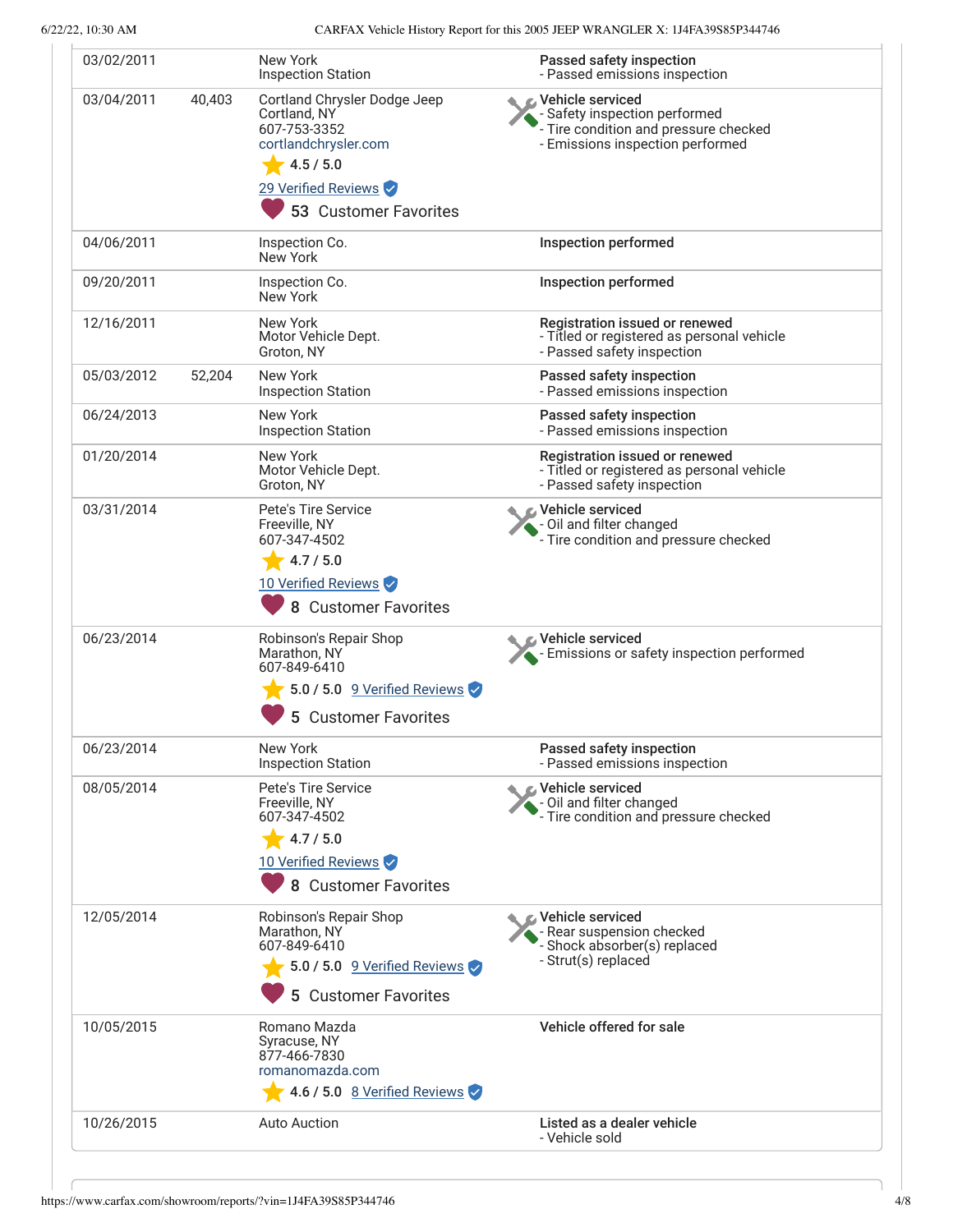| 03/02/2011 |        | New York<br><b>Inspection Station</b>                                                                                                             | Passed safety inspection<br>- Passed emissions inspection                                                                      |
|------------|--------|---------------------------------------------------------------------------------------------------------------------------------------------------|--------------------------------------------------------------------------------------------------------------------------------|
| 03/04/2011 | 40,403 | Cortland Chrysler Dodge Jeep<br>Cortland, NY<br>607-753-3352<br>cortlandchrysler.com<br>4.5 / 5.0<br>29 Verified Reviews<br>53 Customer Favorites | Vehicle serviced<br>- Safety inspection performed<br>- Tire condition and pressure checked<br>- Emissions inspection performed |
| 04/06/2011 |        | Inspection Co.<br>New York                                                                                                                        | <b>Inspection performed</b>                                                                                                    |
| 09/20/2011 |        | Inspection Co.<br>New York                                                                                                                        | <b>Inspection performed</b>                                                                                                    |
| 12/16/2011 |        | New York<br>Motor Vehicle Dept.<br>Groton, NY                                                                                                     | Registration issued or renewed<br>- Titled or registered as personal vehicle<br>- Passed safety inspection                     |
| 05/03/2012 | 52,204 | New York<br><b>Inspection Station</b>                                                                                                             | Passed safety inspection<br>- Passed emissions inspection                                                                      |
| 06/24/2013 |        | New York<br><b>Inspection Station</b>                                                                                                             | Passed safety inspection<br>- Passed emissions inspection                                                                      |
| 01/20/2014 |        | New York<br>Motor Vehicle Dept.<br>Groton, NY                                                                                                     | Registration issued or renewed<br>- Titled or registered as personal vehicle<br>- Passed safety inspection                     |
| 03/31/2014 |        | Pete's Tire Service<br>Freeville, NY<br>607-347-4502<br>4.7 / 5.0<br>10 Verified Reviews<br>8 Customer Favorites                                  | Vehicle serviced<br>- Oil and filter changed<br>- Tire condition and pressure checked                                          |
| 06/23/2014 |        | Robinson's Repair Shop<br>Marathon, NY<br>607-849-6410<br>5.0 / 5.0 9 Verified Reviews<br><b>Customer Favorites</b>                               | Vehicle serviced<br>- Emissions or safety inspection performed                                                                 |
| 06/23/2014 |        | New York<br><b>Inspection Station</b>                                                                                                             | Passed safety inspection<br>- Passed emissions inspection                                                                      |
| 08/05/2014 |        | Pete's Tire Service<br>Freeville, NY<br>607-347-4502<br>4.7 / 5.0<br>10 Verified Reviews<br>8 Customer Favorites                                  | Vehicle serviced<br>- Oil and filter changed<br>- Tire condition and pressure checked                                          |
| 12/05/2014 |        | Robinson's Repair Shop<br>Marathon, NY<br>607-849-6410<br>5.0 / 5.0 9 Verified Reviews<br>5 Customer Favorites                                    | Vehicle serviced<br>Rear suspension checked<br>Shock absorber(s) replaced<br>- Strut(s) replaced                               |
| 10/05/2015 |        | Romano Mazda<br>Syracuse, NY<br>877-466-7830<br>romanomazda.com<br>4.6 / 5.0 8 Verified Reviews                                                   | Vehicle offered for sale                                                                                                       |
| 10/26/2015 |        | <b>Auto Auction</b>                                                                                                                               | Listed as a dealer vehicle<br>- Vehicle sold                                                                                   |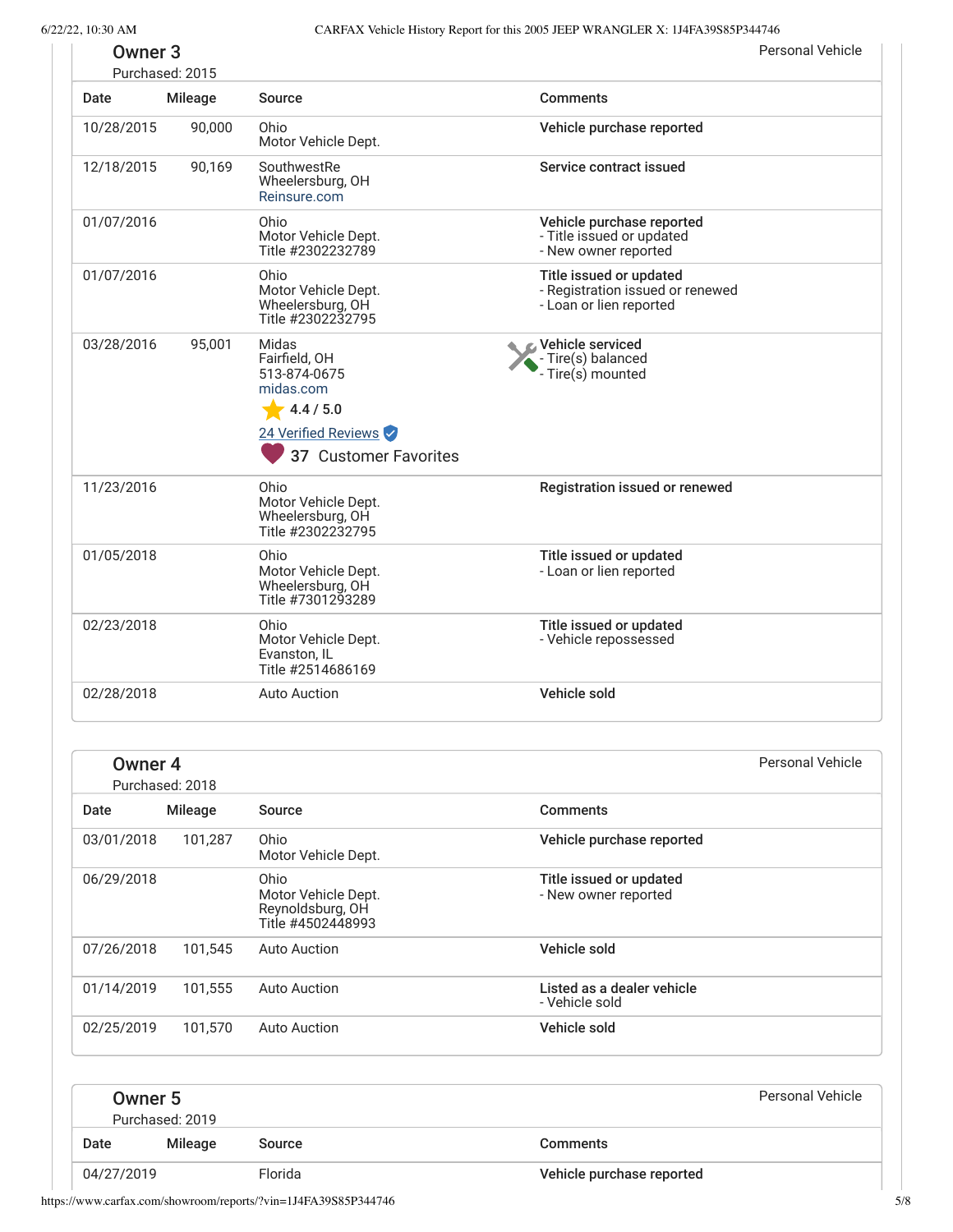| Owner <sub>3</sub> | Purchased: 2015 |                                                                                                                  |                                                                                        | <b>Personal Vehicle</b> |
|--------------------|-----------------|------------------------------------------------------------------------------------------------------------------|----------------------------------------------------------------------------------------|-------------------------|
| Date               | <b>Mileage</b>  | Source                                                                                                           | <b>Comments</b>                                                                        |                         |
| 10/28/2015         | 90,000          | Ohio<br>Motor Vehicle Dept.                                                                                      | Vehicle purchase reported                                                              |                         |
| 12/18/2015         | 90,169          | SouthwestRe<br>Wheelersburg, OH<br>Reinsure.com                                                                  | Service contract issued                                                                |                         |
| 01/07/2016         |                 | Ohio<br>Motor Vehicle Dept.<br>Title #2302232789                                                                 | Vehicle purchase reported<br>- Title issued or updated<br>- New owner reported         |                         |
| 01/07/2016         |                 | Ohio<br>Motor Vehicle Dept.<br>Wheelersburg, OH<br>Title #2302232795                                             | Title issued or updated<br>- Registration issued or renewed<br>- Loan or lien reported |                         |
| 03/28/2016         | 95,001          | Midas<br>Fairfield, OH<br>513-874-0675<br>midas.com<br>4.4 / 5.0<br>24 Verified Reviews<br>37 Customer Favorites | Vehicle serviced<br>- Tire(s) balanced<br>Tire(s) mounted                              |                         |
| 11/23/2016         |                 | Ohio<br>Motor Vehicle Dept.<br>Wheelersburg, OH<br>Title #2302232795                                             | Registration issued or renewed                                                         |                         |
| 01/05/2018         |                 | Ohio<br>Motor Vehicle Dept.<br>Wheelersburg, OH<br>Title #7301293289                                             | Title issued or updated<br>- Loan or lien reported                                     |                         |
| 02/23/2018         |                 | Ohio<br>Motor Vehicle Dept.<br>Evanston, IL<br>Title #2514686169                                                 | Title issued or updated<br>- Vehicle repossessed                                       |                         |
| 02/28/2018         |                 | <b>Auto Auction</b>                                                                                              | Vehicle sold                                                                           |                         |

| Owner 4    | Purchased: 2018 |                                                                      |                                                 | Personal Vehicle |
|------------|-----------------|----------------------------------------------------------------------|-------------------------------------------------|------------------|
| Date       | Mileage         | Source                                                               | <b>Comments</b>                                 |                  |
| 03/01/2018 | 101,287         | Ohio<br>Motor Vehicle Dept.                                          | Vehicle purchase reported                       |                  |
| 06/29/2018 |                 | Ohio<br>Motor Vehicle Dept.<br>Reynoldsburg, OH<br>Title #4502448993 | Title issued or updated<br>- New owner reported |                  |
| 07/26/2018 | 101,545         | Auto Auction                                                         | Vehicle sold                                    |                  |
| 01/14/2019 | 101,555         | <b>Auto Auction</b>                                                  | Listed as a dealer vehicle<br>- Vehicle sold    |                  |
| 02/25/2019 | 101,570         | <b>Auto Auction</b>                                                  | Vehicle sold                                    |                  |
|            |                 |                                                                      |                                                 |                  |

<span id="page-4-0"></span>

|            | Owner 5<br>Purchased: 2019 |         | Personal Vehicle          |
|------------|----------------------------|---------|---------------------------|
| Date       | Mileage                    | Source  | Comments                  |
| 04/27/2019 |                            | Florida | Vehicle purchase reported |

https://www.carfax.com/showroom/reports/?vin=1J4FA39S85P344746 5/8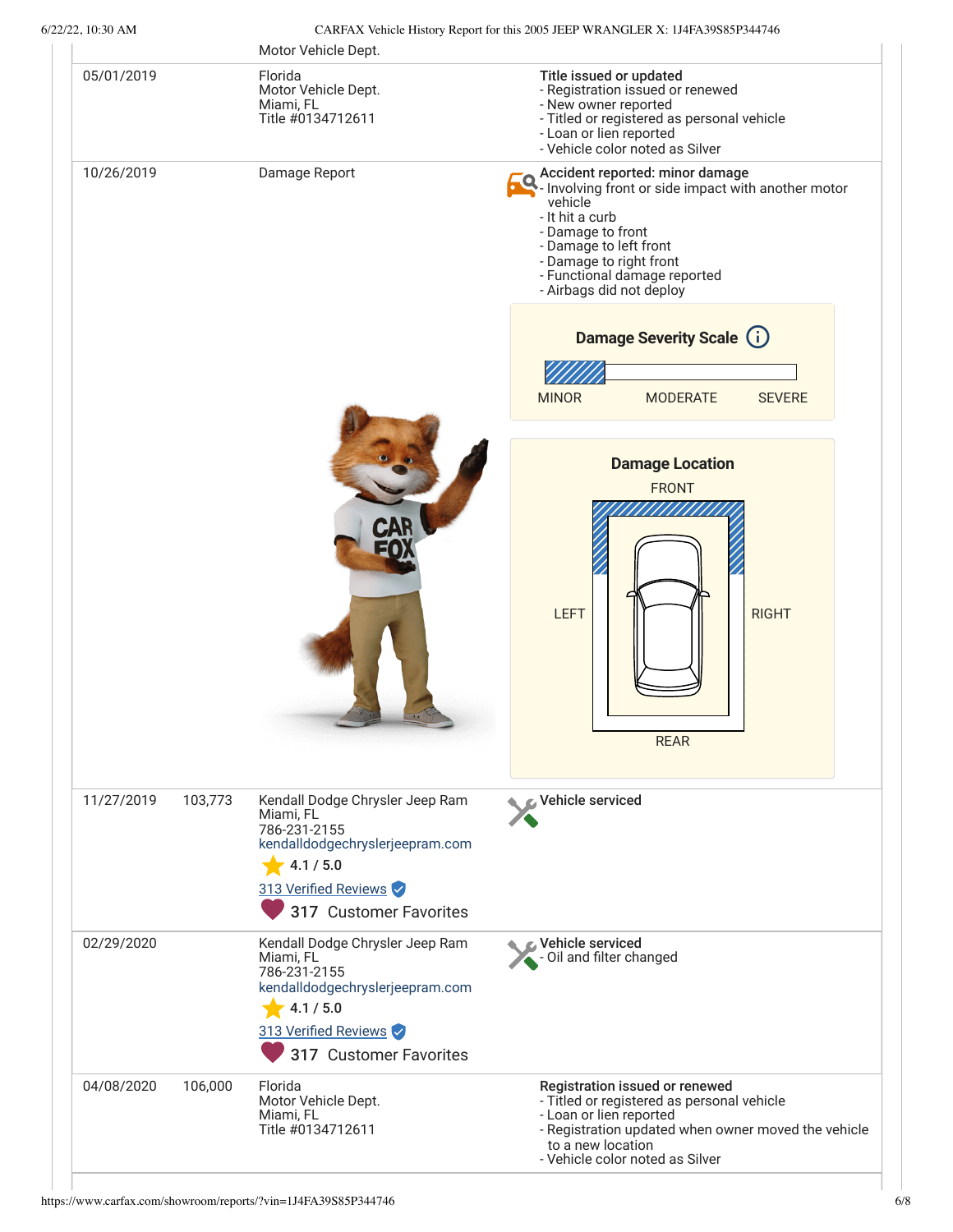| 05/01/2019 |         | Florida                                                                                                                                                        | Title issued or updated                                                                                                                                                                                                                                    |
|------------|---------|----------------------------------------------------------------------------------------------------------------------------------------------------------------|------------------------------------------------------------------------------------------------------------------------------------------------------------------------------------------------------------------------------------------------------------|
|            |         | Motor Vehicle Dept.<br>Miami, FL<br>Title #0134712611                                                                                                          | - Registration issued or renewed<br>- New owner reported<br>- Titled or registered as personal vehicle<br>- Loan or lien reported<br>- Vehicle color noted as Silver                                                                                       |
| 10/26/2019 |         | Damage Report                                                                                                                                                  | Accident reported: minor damage<br>- Involving front or side impact with another motor<br>vehicle<br>- It hit a curb<br>- Damage to front<br>- Damage to left front<br>- Damage to right front<br>- Functional damage reported<br>- Airbags did not deploy |
|            |         |                                                                                                                                                                | <b>Damage Severity Scale (i)</b>                                                                                                                                                                                                                           |
|            |         |                                                                                                                                                                |                                                                                                                                                                                                                                                            |
|            |         |                                                                                                                                                                | <b>MINOR</b><br><b>SEVERE</b><br><b>MODERATE</b>                                                                                                                                                                                                           |
|            |         |                                                                                                                                                                | <b>Damage Location</b><br><b>FRONT</b>                                                                                                                                                                                                                     |
|            |         |                                                                                                                                                                | <b>LEFT</b><br><b>RIGHT</b><br><b>REAR</b>                                                                                                                                                                                                                 |
| 11/27/2019 | 103,773 | Kendall Dodge Chrysler Jeep Ram<br>Miami, FL<br>786-231-2155<br>kendalldodgechryslerjeepram.com<br>4.1 / 5.0<br>313 Verified Reviews<br>317 Customer Favorites | Vehicle serviced                                                                                                                                                                                                                                           |
| 02/29/2020 |         | Kendall Dodge Chrysler Jeep Ram<br>Miami, FL<br>786-231-2155<br>kendalldodgechryslerjeepram.com<br>4.1 / 5.0<br>313 Verified Reviews<br>317 Customer Favorites | Vehicle serviced<br>Oil and filter changed                                                                                                                                                                                                                 |
| 04/08/2020 | 106,000 | Florida<br>Motor Vehicle Dept.<br>Miami, FL<br>Title #0134712611                                                                                               | Registration issued or renewed<br>- Titled or registered as personal vehicle<br>- Loan or lien reported<br>- Registration updated when owner moved the vehicle<br>to a new location<br>- Vehicle color noted as Silver                                     |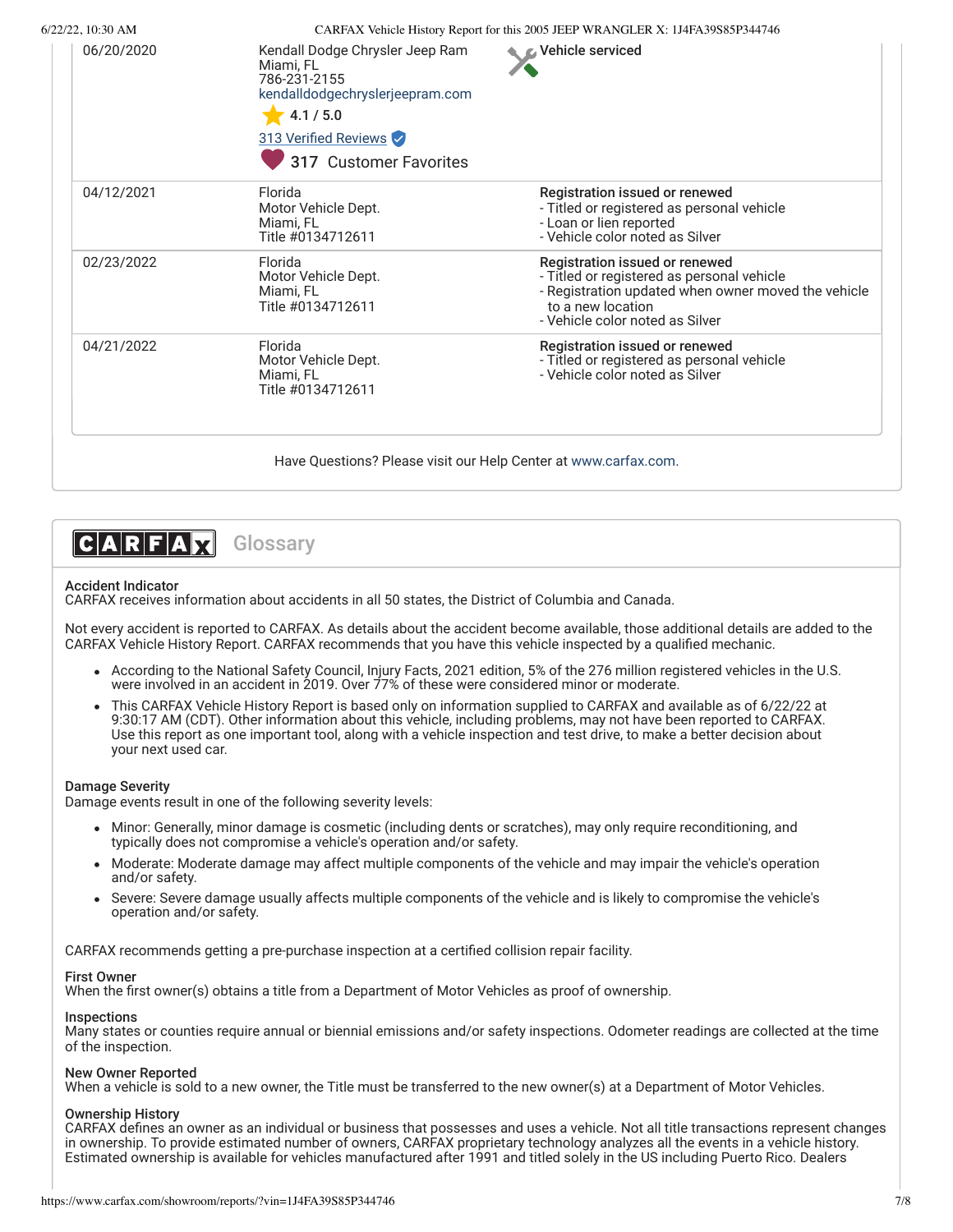| 06/20/2020 | Kendall Dodge Chrysler Jeep Ram<br>Miami, FL<br>786-231-2155<br>kendalldodgechryslerjeepram.com<br>4.1 / 5.0<br>313 Verified Reviews<br>317 Customer Favorites | C Vehicle serviced                                                                                                                                                                          |
|------------|----------------------------------------------------------------------------------------------------------------------------------------------------------------|---------------------------------------------------------------------------------------------------------------------------------------------------------------------------------------------|
| 04/12/2021 | Florida<br>Motor Vehicle Dept.<br>Miami, FL<br>Title #0134712611                                                                                               | Registration issued or renewed<br>- Titled or registered as personal vehicle<br>- Loan or lien reported<br>- Vehicle color noted as Silver                                                  |
| 02/23/2022 | Florida<br>Motor Vehicle Dept.<br>Miami, FL<br>Title #0134712611                                                                                               | Registration issued or renewed<br>- Titled or registered as personal vehicle<br>- Registration updated when owner moved the vehicle<br>to a new location<br>- Vehicle color noted as Silver |
| 04/21/2022 | Florida<br>Motor Vehicle Dept.<br>Miami, FL<br>Title #0134712611                                                                                               | Registration issued or renewed<br>- Titled or registered as personal vehicle<br>- Vehicle color noted as Silver                                                                             |



## Accident Indicator

CARFAX receives information about accidents in all 50 states, the District of Columbia and Canada.

Not every accident is reported to CARFAX. As details about the accident become available, those additional details are added to the CARFAX Vehicle History Report. CARFAX recommends that you have this vehicle inspected by a qualified mechanic.

- According to the National Safety Council, Injury Facts, 2021 edition, 5% of the 276 million registered vehicles in the U.S. were involved in an accident in 2019. Over 77% of these were considered minor or moderate.
- This CARFAX Vehicle History Report is based only on information supplied to CARFAX and available as of 6/22/22 at 9:30:17 AM (CDT). Other information about this vehicle, including problems, may not have been reported to CARFAX. Use this report as one important tool, along with a vehicle inspection and test drive, to make a better decision about your next used car.

### Damage Severity

Damage events result in one of the following severity levels:

- Minor: Generally, minor damage is cosmetic (including dents or scratches), may only require reconditioning, and typically does not compromise a vehicle's operation and/or safety.
- Moderate: Moderate damage may affect multiple components of the vehicle and may impair the vehicle's operation and/or safety.
- Severe: Severe damage usually affects multiple components of the vehicle and is likely to compromise the vehicle's operation and/or safety.

CARFAX recommends getting a pre-purchase inspection at a certified collision repair facility.

# First Owner

When the first owner(s) obtains a title from a Department of Motor Vehicles as proof of ownership.

# Inspections

Many states or counties require annual or biennial emissions and/or safety inspections. Odometer readings are collected at the time of the inspection.

# New Owner Reported

When a vehicle is sold to a new owner, the Title must be transferred to the new owner(s) at a Department of Motor Vehicles.

# Ownership History

CARFAX defines an owner as an individual or business that possesses and uses a vehicle. Not all title transactions represent changes in ownership. To provide estimated number of owners, CARFAX proprietary technology analyzes all the events in a vehicle history. Estimated ownership is available for vehicles manufactured after 1991 and titled solely in the US including Puerto Rico. Dealers